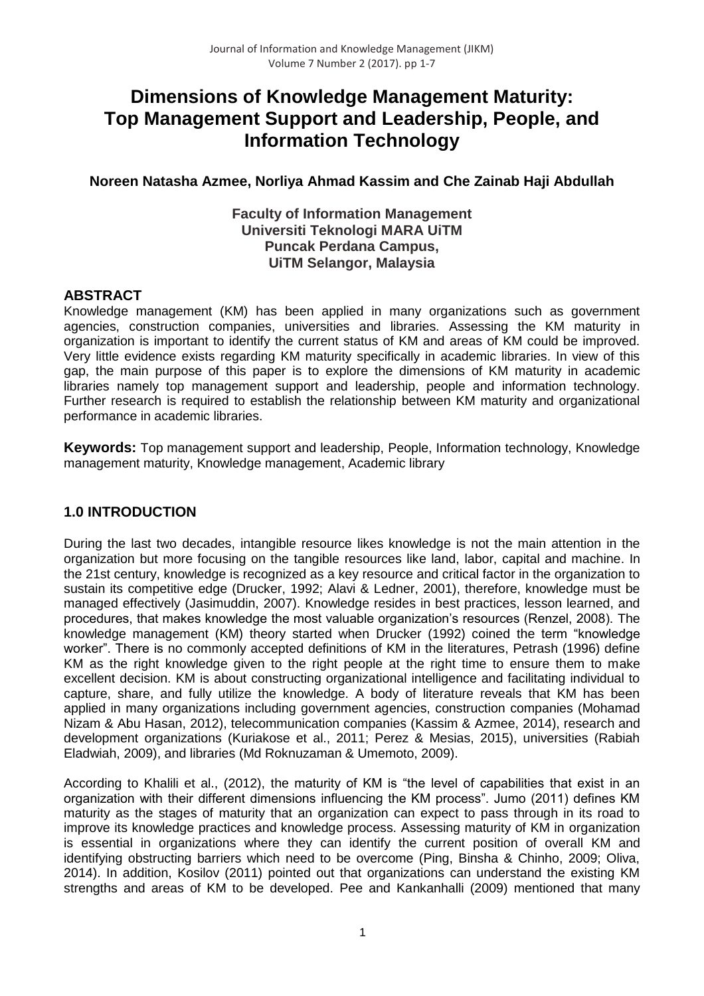# **Dimensions of Knowledge Management Maturity: Top Management Support and Leadership, People, and Information Technology**

# **Noreen Natasha Azmee, Norliya Ahmad Kassim and Che Zainab Haji Abdullah**

### **Faculty of Information Management Universiti Teknologi MARA UiTM Puncak Perdana Campus, UiTM Selangor, Malaysia**

# **ABSTRACT**

Knowledge management (KM) has been applied in many organizations such as government agencies, construction companies, universities and libraries. Assessing the KM maturity in organization is important to identify the current status of KM and areas of KM could be improved. Very little evidence exists regarding KM maturity specifically in academic libraries. In view of this gap, the main purpose of this paper is to explore the dimensions of KM maturity in academic libraries namely top management support and leadership, people and information technology. Further research is required to establish the relationship between KM maturity and organizational performance in academic libraries.

**Keywords:** Top management support and leadership, People, Information technology, Knowledge management maturity, Knowledge management, Academic library

# **1.0 INTRODUCTION**

During the last two decades, intangible resource likes knowledge is not the main attention in the organization but more focusing on the tangible resources like land, labor, capital and machine. In the 21st century, knowledge is recognized as a key resource and critical factor in the organization to sustain its competitive edge (Drucker, 1992; Alavi & Ledner, 2001), therefore, knowledge must be managed effectively (Jasimuddin, 2007). Knowledge resides in best practices, lesson learned, and procedures, that makes knowledge the most valuable organization's resources (Renzel, 2008). The knowledge management (KM) theory started when Drucker (1992) coined the term "knowledge worker". There is no commonly accepted definitions of KM in the literatures, Petrash (1996) define KM as the right knowledge given to the right people at the right time to ensure them to make excellent decision. KM is about constructing organizational intelligence and facilitating individual to capture, share, and fully utilize the knowledge. A body of literature reveals that KM has been applied in many organizations including government agencies, construction companies (Mohamad Nizam & Abu Hasan, 2012), telecommunication companies (Kassim & Azmee, 2014), research and development organizations (Kuriakose et al., 2011; Perez & Mesias, 2015), universities (Rabiah Eladwiah, 2009), and libraries (Md Roknuzaman & Umemoto, 2009).

According to Khalili et al., (2012), the maturity of KM is "the level of capabilities that exist in an organization with their different dimensions influencing the KM process". Jumo (2011) defines KM maturity as the stages of maturity that an organization can expect to pass through in its road to improve its knowledge practices and knowledge process. Assessing maturity of KM in organization is essential in organizations where they can identify the current position of overall KM and identifying obstructing barriers which need to be overcome (Ping, Binsha & Chinho, 2009; Oliva, 2014). In addition, Kosilov (2011) pointed out that organizations can understand the existing KM strengths and areas of KM to be developed. Pee and Kankanhalli (2009) mentioned that many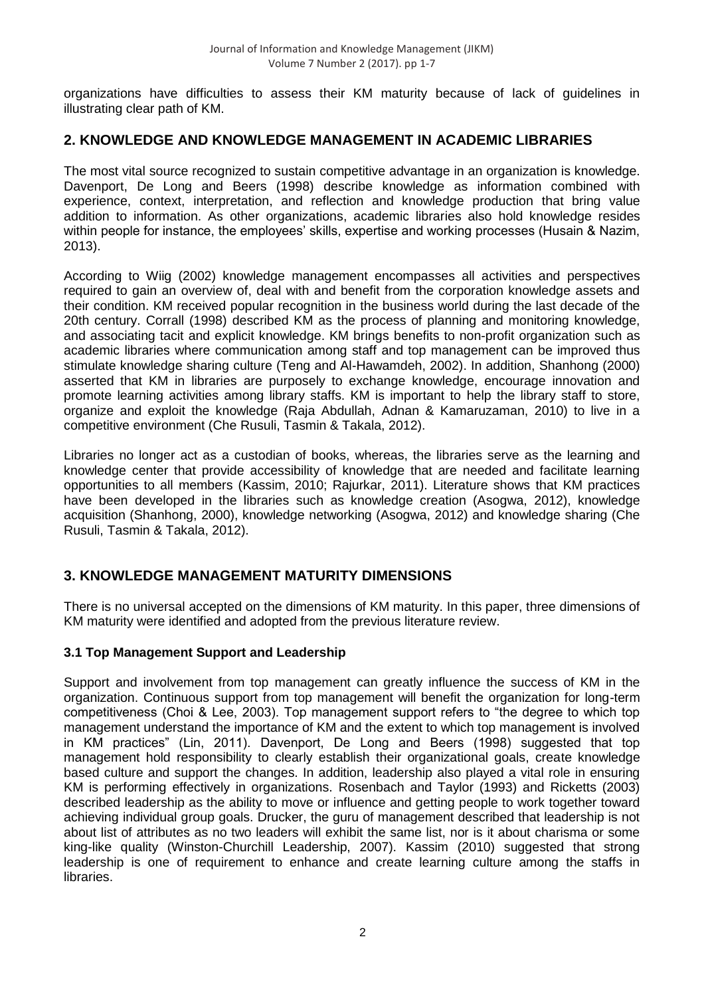organizations have difficulties to assess their KM maturity because of lack of guidelines in illustrating clear path of KM.

# **2. KNOWLEDGE AND KNOWLEDGE MANAGEMENT IN ACADEMIC LIBRARIES**

The most vital source recognized to sustain competitive advantage in an organization is knowledge. Davenport, De Long and Beers (1998) describe knowledge as information combined with experience, context, interpretation, and reflection and knowledge production that bring value addition to information. As other organizations, academic libraries also hold knowledge resides within people for instance, the employees' skills, expertise and working processes (Husain & Nazim, 2013).

According to Wiig (2002) knowledge management encompasses all activities and perspectives required to gain an overview of, deal with and benefit from the corporation knowledge assets and their condition. KM received popular recognition in the business world during the last decade of the 20th century. Corrall (1998) described KM as the process of planning and monitoring knowledge, and associating tacit and explicit knowledge. KM brings benefits to non-profit organization such as academic libraries where communication among staff and top management can be improved thus stimulate knowledge sharing culture (Teng and Al-Hawamdeh, 2002). In addition, Shanhong (2000) asserted that KM in libraries are purposely to exchange knowledge, encourage innovation and promote learning activities among library staffs. KM is important to help the library staff to store, organize and exploit the knowledge (Raja Abdullah, Adnan & Kamaruzaman, 2010) to live in a competitive environment (Che Rusuli, Tasmin & Takala, 2012).

Libraries no longer act as a custodian of books, whereas, the libraries serve as the learning and knowledge center that provide accessibility of knowledge that are needed and facilitate learning opportunities to all members (Kassim, 2010; Rajurkar, 2011). Literature shows that KM practices have been developed in the libraries such as knowledge creation (Asogwa, 2012), knowledge acquisition (Shanhong, 2000), knowledge networking (Asogwa, 2012) and knowledge sharing (Che Rusuli, Tasmin & Takala, 2012).

# **3. KNOWLEDGE MANAGEMENT MATURITY DIMENSIONS**

There is no universal accepted on the dimensions of KM maturity. In this paper, three dimensions of KM maturity were identified and adopted from the previous literature review.

#### **3.1 Top Management Support and Leadership**

Support and involvement from top management can greatly influence the success of KM in the organization. Continuous support from top management will benefit the organization for long-term competitiveness (Choi & Lee, 2003). Top management support refers to "the degree to which top management understand the importance of KM and the extent to which top management is involved in KM practices" (Lin, 2011). Davenport, De Long and Beers (1998) suggested that top management hold responsibility to clearly establish their organizational goals, create knowledge based culture and support the changes. In addition, leadership also played a vital role in ensuring KM is performing effectively in organizations. Rosenbach and Taylor (1993) and Ricketts (2003) described leadership as the ability to move or influence and getting people to work together toward achieving individual group goals. Drucker, the guru of management described that leadership is not about list of attributes as no two leaders will exhibit the same list, nor is it about charisma or some king-like quality (Winston-Churchill Leadership, 2007). Kassim (2010) suggested that strong leadership is one of requirement to enhance and create learning culture among the staffs in libraries.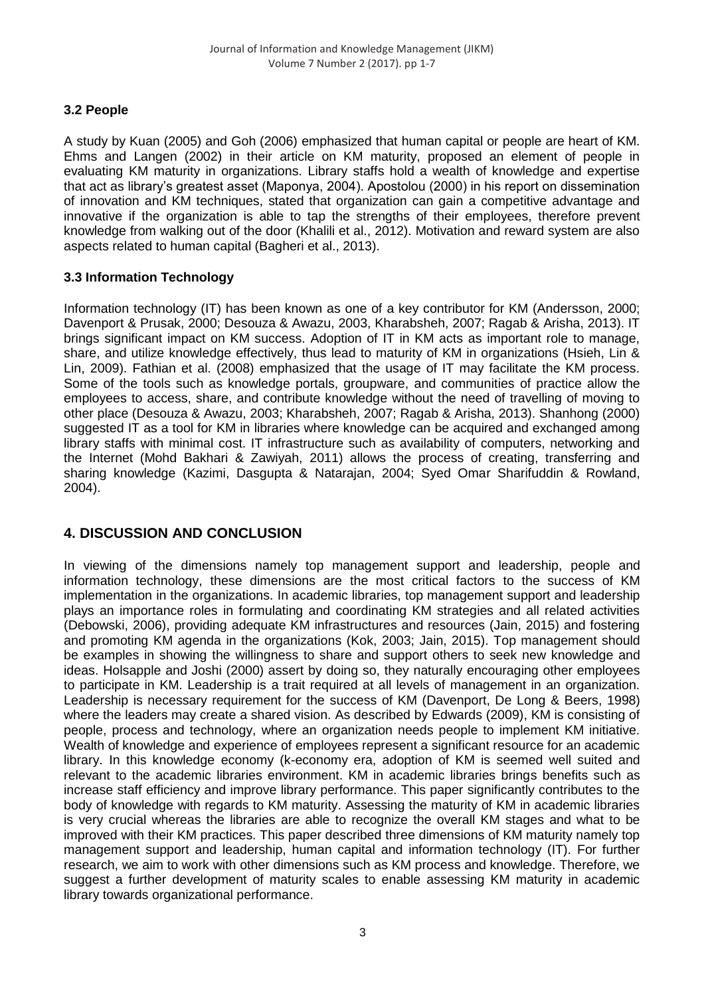# **3.2 People**

A study by Kuan (2005) and Goh (2006) emphasized that human capital or people are heart of KM. Ehms and Langen (2002) in their article on KM maturity, proposed an element of people in evaluating KM maturity in organizations. Library staffs hold a wealth of knowledge and expertise that act as library's greatest asset (Maponya, 2004). Apostolou (2000) in his report on dissemination of innovation and KM techniques, stated that organization can gain a competitive advantage and innovative if the organization is able to tap the strengths of their employees, therefore prevent knowledge from walking out of the door (Khalili et al., 2012). Motivation and reward system are also aspects related to human capital (Bagheri et al., 2013).

# **3.3 Information Technology**

Information technology (IT) has been known as one of a key contributor for KM (Andersson, 2000; Davenport & Prusak, 2000; Desouza & Awazu, 2003, Kharabsheh, 2007; Ragab & Arisha, 2013). IT brings significant impact on KM success. Adoption of IT in KM acts as important role to manage, share, and utilize knowledge effectively, thus lead to maturity of KM in organizations (Hsieh, Lin & Lin, 2009). Fathian et al. (2008) emphasized that the usage of IT may facilitate the KM process. Some of the tools such as knowledge portals, groupware, and communities of practice allow the employees to access, share, and contribute knowledge without the need of travelling of moving to other place (Desouza & Awazu, 2003; Kharabsheh, 2007; Ragab & Arisha, 2013). Shanhong (2000) suggested IT as a tool for KM in libraries where knowledge can be acquired and exchanged among library staffs with minimal cost. IT infrastructure such as availability of computers, networking and the Internet (Mohd Bakhari & Zawiyah, 2011) allows the process of creating, transferring and sharing knowledge (Kazimi, Dasgupta & Natarajan, 2004; Syed Omar Sharifuddin & Rowland, 2004).

# **4. DISCUSSION AND CONCLUSION**

In viewing of the dimensions namely top management support and leadership, people and information technology, these dimensions are the most critical factors to the success of KM implementation in the organizations. In academic libraries, top management support and leadership plays an importance roles in formulating and coordinating KM strategies and all related activities (Debowski, 2006), providing adequate KM infrastructures and resources (Jain, 2015) and fostering and promoting KM agenda in the organizations (Kok, 2003; Jain, 2015). Top management should be examples in showing the willingness to share and support others to seek new knowledge and ideas. Holsapple and Joshi (2000) assert by doing so, they naturally encouraging other employees to participate in KM. Leadership is a trait required at all levels of management in an organization. Leadership is necessary requirement for the success of KM (Davenport, De Long & Beers, 1998) where the leaders may create a shared vision. As described by Edwards (2009), KM is consisting of people, process and technology, where an organization needs people to implement KM initiative. Wealth of knowledge and experience of employees represent a significant resource for an academic library. In this knowledge economy (k-economy era, adoption of KM is seemed well suited and relevant to the academic libraries environment. KM in academic libraries brings benefits such as increase staff efficiency and improve library performance. This paper significantly contributes to the body of knowledge with regards to KM maturity. Assessing the maturity of KM in academic libraries is very crucial whereas the libraries are able to recognize the overall KM stages and what to be improved with their KM practices. This paper described three dimensions of KM maturity namely top management support and leadership, human capital and information technology (IT). For further research, we aim to work with other dimensions such as KM process and knowledge. Therefore, we suggest a further development of maturity scales to enable assessing KM maturity in academic library towards organizational performance.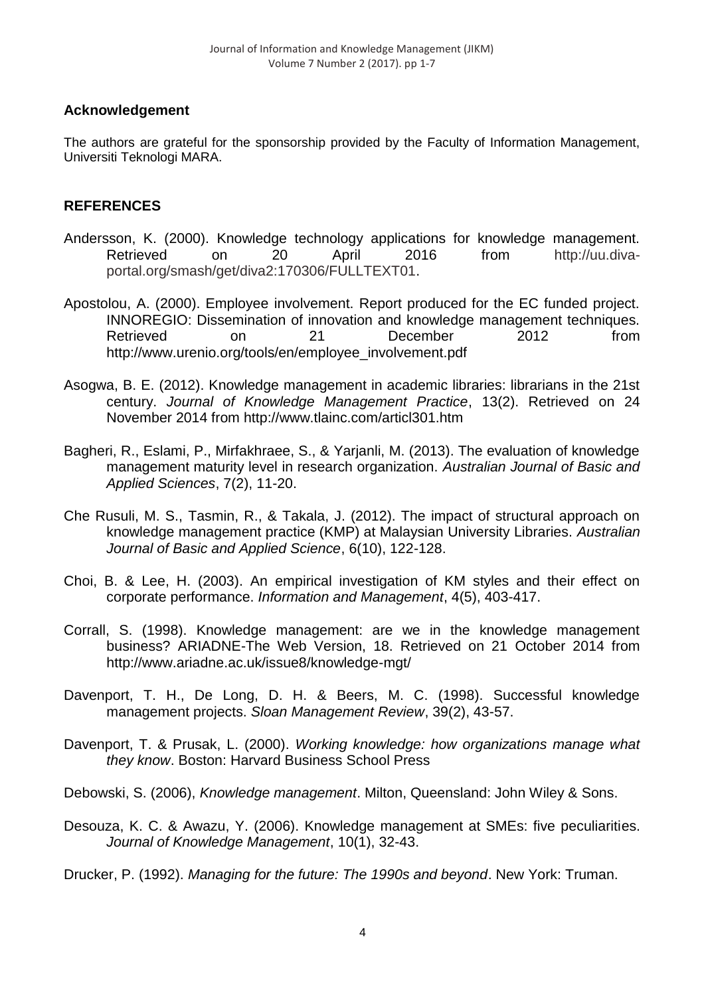# **Acknowledgement**

The authors are grateful for the sponsorship provided by the Faculty of Information Management, Universiti Teknologi MARA.

# **REFERENCES**

- Andersson, K. (2000). Knowledge technology applications for knowledge management. Retrieved on 20 April 2016 from http://uu.divaportal.org/smash/get/diva2:170306/FULLTEXT01.
- Apostolou, A. (2000). Employee involvement. Report produced for the EC funded project. INNOREGIO: Dissemination of innovation and knowledge management techniques. Retrieved on 21 December 2012 from http://www.urenio.org/tools/en/employee\_involvement.pdf
- Asogwa, B. E. (2012). Knowledge management in academic libraries: librarians in the 21st century. *Journal of Knowledge Management Practice*, 13(2). Retrieved on 24 November 2014 from http://www.tlainc.com/articl301.htm
- Bagheri, R., Eslami, P., Mirfakhraee, S., & Yarjanli, M. (2013). The evaluation of knowledge management maturity level in research organization. *Australian Journal of Basic and Applied Sciences*, 7(2), 11-20.
- Che Rusuli, M. S., Tasmin, R., & Takala, J. (2012). The impact of structural approach on knowledge management practice (KMP) at Malaysian University Libraries. *Australian Journal of Basic and Applied Science*, 6(10), 122-128.
- Choi, B. & Lee, H. (2003). An empirical investigation of KM styles and their effect on corporate performance. *Information and Management*, 4(5), 403-417.
- Corrall, S. (1998). Knowledge management: are we in the knowledge management business? ARIADNE-The Web Version, 18. Retrieved on 21 October 2014 from http://www.ariadne.ac.uk/issue8/knowledge-mgt/
- Davenport, T. H., De Long, D. H. & Beers, M. C. (1998). Successful knowledge management projects. *Sloan Management Review*, 39(2), 43-57.
- Davenport, T. & Prusak, L. (2000). *Working knowledge: how organizations manage what they know*. Boston: Harvard Business School Press
- Debowski, S. (2006), *Knowledge management*. Milton, Queensland: John Wiley & Sons.
- Desouza, K. C. & Awazu, Y. (2006). Knowledge management at SMEs: five peculiarities. *Journal of Knowledge Management*, 10(1), 32-43.
- Drucker, P. (1992). *Managing for the future: The 1990s and beyond*. New York: Truman.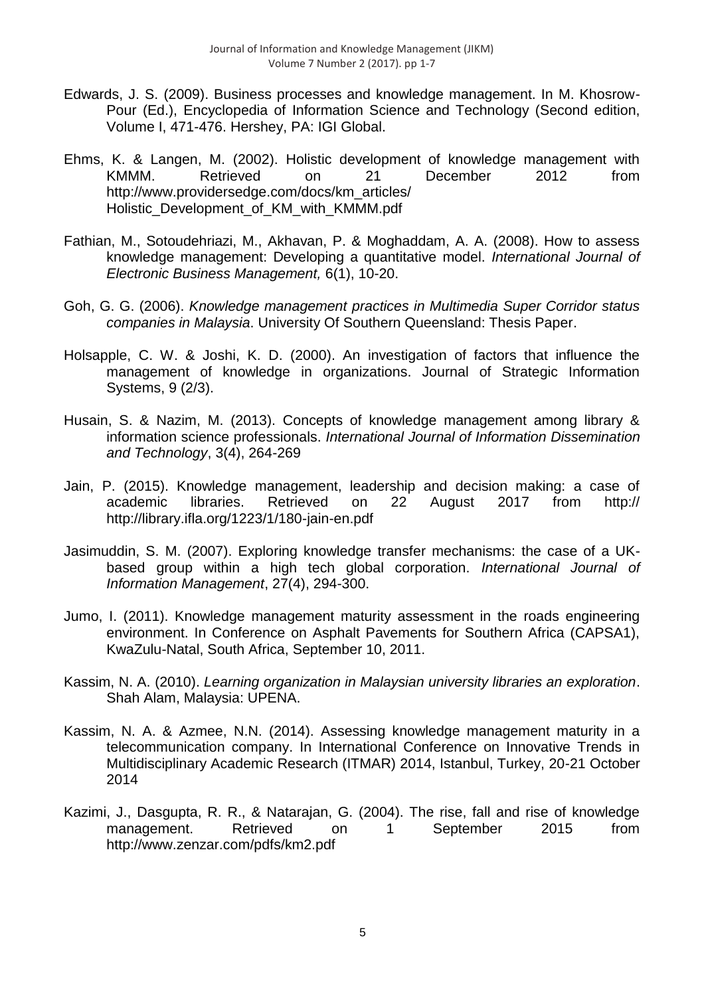- Edwards, J. S. (2009). Business processes and knowledge management. In M. Khosrow-Pour (Ed.), Encyclopedia of Information Science and Technology (Second edition, Volume I, 471-476. Hershey, PA: IGI Global.
- Ehms, K. & Langen, M. (2002). Holistic development of knowledge management with KMMM. Retrieved on 21 December 2012 from http://www.providersedge.com/docs/km\_articles/ Holistic\_Development\_of\_KM\_with\_KMMM.pdf
- Fathian, M., Sotoudehriazi, M., Akhavan, P. & Moghaddam, A. A. (2008). How to assess knowledge management: Developing a quantitative model. *International Journal of Electronic Business Management,* 6(1), 10-20.
- Goh, G. G. (2006). *Knowledge management practices in Multimedia Super Corridor status companies in Malaysia*. University Of Southern Queensland: Thesis Paper.
- Holsapple, C. W. & Joshi, K. D. (2000). An investigation of factors that influence the management of knowledge in organizations. Journal of Strategic Information Systems, 9 (2/3).
- Husain, S. & Nazim, M. (2013). Concepts of knowledge management among library & information science professionals. *International Journal of Information Dissemination and Technology*, 3(4), 264-269
- Jain, P. (2015). Knowledge management, leadership and decision making: a case of academic libraries. Retrieved on 22 August 2017 from http:// http://library.ifla.org/1223/1/180-jain-en.pdf
- Jasimuddin, S. M. (2007). Exploring knowledge transfer mechanisms: the case of a UKbased group within a high tech global corporation. *International Journal of Information Management*, 27(4), 294-300.
- Jumo, I. (2011). Knowledge management maturity assessment in the roads engineering environment. In Conference on Asphalt Pavements for Southern Africa (CAPSA1), KwaZulu-Natal, South Africa, September 10, 2011.
- Kassim, N. A. (2010). *Learning organization in Malaysian university libraries an exploration*. Shah Alam, Malaysia: UPENA.
- Kassim, N. A. & Azmee, N.N. (2014). Assessing knowledge management maturity in a telecommunication company. In International Conference on Innovative Trends in Multidisciplinary Academic Research (ITMAR) 2014, Istanbul, Turkey, 20-21 October 2014
- Kazimi, J., Dasgupta, R. R., & Natarajan, G. (2004). The rise, fall and rise of knowledge management. Retrieved on 1 September 2015 from http://www.zenzar.com/pdfs/km2.pdf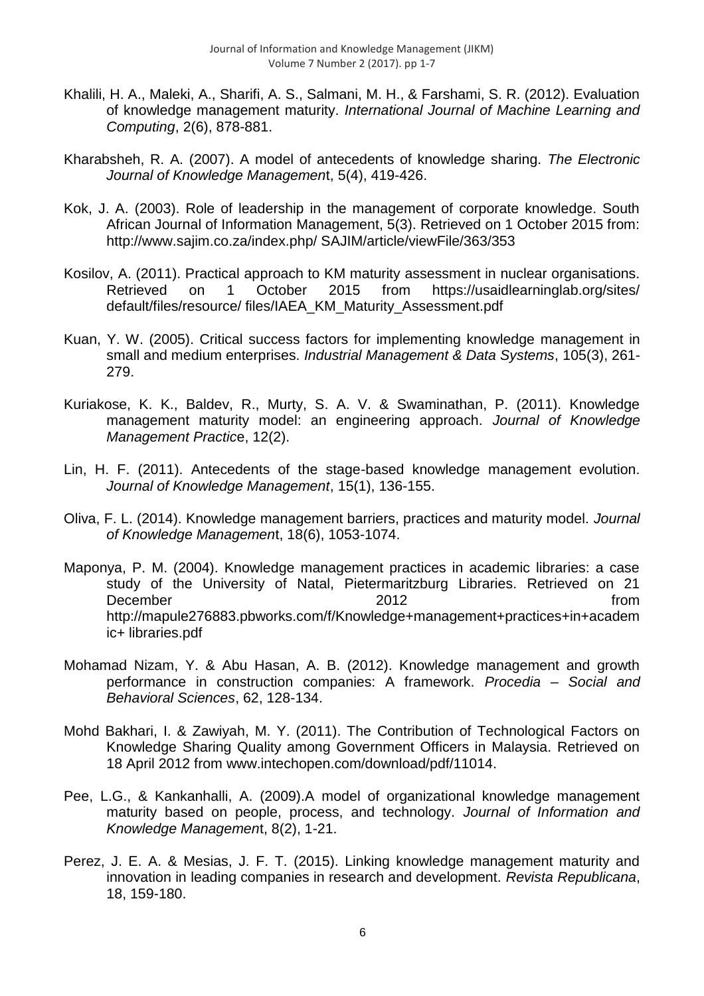- Khalili, H. A., Maleki, A., Sharifi, A. S., Salmani, M. H., & Farshami, S. R. (2012). Evaluation of knowledge management maturity. *International Journal of Machine Learning and Computing*, 2(6), 878-881.
- Kharabsheh, R. A. (2007). A model of antecedents of knowledge sharing. *The Electronic Journal of Knowledge Managemen*t, 5(4), 419-426.
- Kok, J. A. (2003). Role of leadership in the management of corporate knowledge. South African Journal of Information Management, 5(3). Retrieved on 1 October 2015 from: http://www.sajim.co.za/index.php/ SAJIM/article/viewFile/363/353
- Kosilov, A. (2011). Practical approach to KM maturity assessment in nuclear organisations. Retrieved on 1 October 2015 from https://usaidlearninglab.org/sites/ default/files/resource/ files/IAEA\_KM\_Maturity\_Assessment.pdf
- Kuan, Y. W. (2005). Critical success factors for implementing knowledge management in small and medium enterprises. *Industrial Management & Data Systems*, 105(3), 261- 279.
- Kuriakose, K. K., Baldev, R., Murty, S. A. V. & Swaminathan, P. (2011). Knowledge management maturity model: an engineering approach. *Journal of Knowledge Management Practic*e, 12(2).
- Lin, H. F. (2011). Antecedents of the stage-based knowledge management evolution. *Journal of Knowledge Management*, 15(1), 136-155.
- Oliva, F. L. (2014). Knowledge management barriers, practices and maturity model. *Journal of Knowledge Managemen*t, 18(6), 1053-1074.
- Maponya, P. M. (2004). Knowledge management practices in academic libraries: a case study of the University of Natal, Pietermaritzburg Libraries. Retrieved on 21 December 2012 from the contract of the 2012 from the contract of the contract of the contract of the contract of the contract of the contract of the contract of the contract of the contract of the contract of the contract http://mapule276883.pbworks.com/f/Knowledge+management+practices+in+academ ic+ libraries.pdf
- Mohamad Nizam, Y. & Abu Hasan, A. B. (2012). Knowledge management and growth performance in construction companies: A framework. *Procedia – Social and Behavioral Sciences*, 62, 128-134.
- Mohd Bakhari, I. & Zawiyah, M. Y. (2011). The Contribution of Technological Factors on Knowledge Sharing Quality among Government Officers in Malaysia. Retrieved on 18 April 2012 from www.intechopen.com/download/pdf/11014.
- Pee, L.G., & Kankanhalli, A. (2009).A model of organizational knowledge management maturity based on people, process, and technology. *Journal of Information and Knowledge Managemen*t, 8(2), 1-21.
- Perez, J. E. A. & Mesias, J. F. T. (2015). Linking knowledge management maturity and innovation in leading companies in research and development. *Revista Republicana*, 18, 159-180.